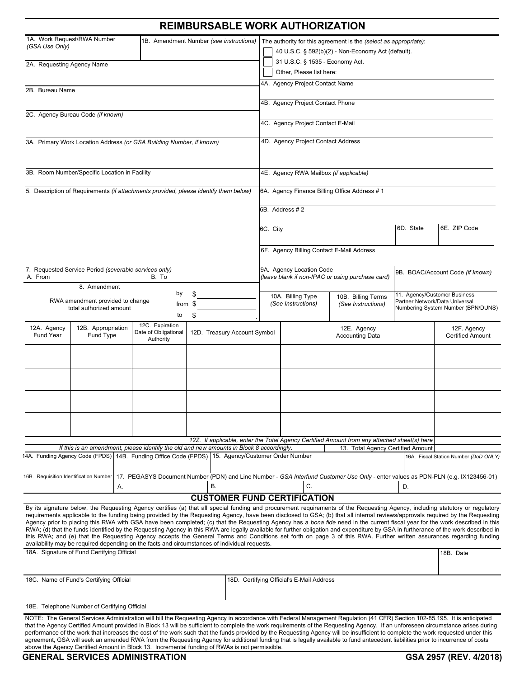|                                                                                                                                                                                                  |                                 |                      |                                                      | <b>REIMBURSABLE WORK AUTHORIZATION</b>                                                         |                                          |                                                                                                                        |                                                                                                                                                                                                                                                                                                                                                                     |    |                                                                                                                                                                                                                                                                                                                                                                                                                                                                                                                                                                                                                                                                                                                                                                                                                                                                                                               |  |  |
|--------------------------------------------------------------------------------------------------------------------------------------------------------------------------------------------------|---------------------------------|----------------------|------------------------------------------------------|------------------------------------------------------------------------------------------------|------------------------------------------|------------------------------------------------------------------------------------------------------------------------|---------------------------------------------------------------------------------------------------------------------------------------------------------------------------------------------------------------------------------------------------------------------------------------------------------------------------------------------------------------------|----|---------------------------------------------------------------------------------------------------------------------------------------------------------------------------------------------------------------------------------------------------------------------------------------------------------------------------------------------------------------------------------------------------------------------------------------------------------------------------------------------------------------------------------------------------------------------------------------------------------------------------------------------------------------------------------------------------------------------------------------------------------------------------------------------------------------------------------------------------------------------------------------------------------------|--|--|
| 1A. Work Request/RWA Number<br>1B. Amendment Number (see instructions)<br>(GSA Use Only)                                                                                                         |                                 |                      |                                                      |                                                                                                |                                          | The authority for this agreement is the (select as appropriate):<br>40 U.S.C. § 592(b)(2) - Non-Economy Act (default). |                                                                                                                                                                                                                                                                                                                                                                     |    |                                                                                                                                                                                                                                                                                                                                                                                                                                                                                                                                                                                                                                                                                                                                                                                                                                                                                                               |  |  |
| 2A. Requesting Agency Name                                                                                                                                                                       |                                 |                      |                                                      |                                                                                                |                                          | 31 U.S.C. § 1535 - Economy Act.                                                                                        |                                                                                                                                                                                                                                                                                                                                                                     |    |                                                                                                                                                                                                                                                                                                                                                                                                                                                                                                                                                                                                                                                                                                                                                                                                                                                                                                               |  |  |
|                                                                                                                                                                                                  |                                 |                      |                                                      |                                                                                                |                                          | Other, Please list here:<br>4A. Agency Project Contact Name                                                            |                                                                                                                                                                                                                                                                                                                                                                     |    |                                                                                                                                                                                                                                                                                                                                                                                                                                                                                                                                                                                                                                                                                                                                                                                                                                                                                                               |  |  |
| 2B. Bureau Name                                                                                                                                                                                  |                                 |                      |                                                      |                                                                                                |                                          |                                                                                                                        |                                                                                                                                                                                                                                                                                                                                                                     |    |                                                                                                                                                                                                                                                                                                                                                                                                                                                                                                                                                                                                                                                                                                                                                                                                                                                                                                               |  |  |
|                                                                                                                                                                                                  |                                 |                      |                                                      |                                                                                                |                                          | 4B. Agency Project Contact Phone                                                                                       |                                                                                                                                                                                                                                                                                                                                                                     |    |                                                                                                                                                                                                                                                                                                                                                                                                                                                                                                                                                                                                                                                                                                                                                                                                                                                                                                               |  |  |
| 2C. Agency Bureau Code (if known)                                                                                                                                                                |                                 |                      |                                                      |                                                                                                |                                          | 4C. Agency Project Contact E-Mail                                                                                      |                                                                                                                                                                                                                                                                                                                                                                     |    |                                                                                                                                                                                                                                                                                                                                                                                                                                                                                                                                                                                                                                                                                                                                                                                                                                                                                                               |  |  |
| 3A. Primary Work Location Address (or GSA Building Number, if known)                                                                                                                             |                                 |                      |                                                      |                                                                                                |                                          | 4D. Agency Project Contact Address                                                                                     |                                                                                                                                                                                                                                                                                                                                                                     |    |                                                                                                                                                                                                                                                                                                                                                                                                                                                                                                                                                                                                                                                                                                                                                                                                                                                                                                               |  |  |
| 3B. Room Number/Specific Location in Facility                                                                                                                                                    |                                 |                      |                                                      |                                                                                                |                                          | 4E. Agency RWA Mailbox (if applicable)                                                                                 |                                                                                                                                                                                                                                                                                                                                                                     |    |                                                                                                                                                                                                                                                                                                                                                                                                                                                                                                                                                                                                                                                                                                                                                                                                                                                                                                               |  |  |
|                                                                                                                                                                                                  |                                 |                      |                                                      | 5. Description of Requirements (if attachments provided, please identify them below)           |                                          | 6A. Agency Finance Billing Office Address #1                                                                           |                                                                                                                                                                                                                                                                                                                                                                     |    |                                                                                                                                                                                                                                                                                                                                                                                                                                                                                                                                                                                                                                                                                                                                                                                                                                                                                                               |  |  |
|                                                                                                                                                                                                  |                                 |                      |                                                      |                                                                                                |                                          | 6B. Address #2                                                                                                         |                                                                                                                                                                                                                                                                                                                                                                     |    |                                                                                                                                                                                                                                                                                                                                                                                                                                                                                                                                                                                                                                                                                                                                                                                                                                                                                                               |  |  |
|                                                                                                                                                                                                  |                                 |                      |                                                      |                                                                                                |                                          | 6D. State<br>6C. City                                                                                                  |                                                                                                                                                                                                                                                                                                                                                                     |    | 6E. ZIP Code                                                                                                                                                                                                                                                                                                                                                                                                                                                                                                                                                                                                                                                                                                                                                                                                                                                                                                  |  |  |
|                                                                                                                                                                                                  |                                 |                      |                                                      |                                                                                                |                                          | 6F. Agency Billing Contact E-Mail Address                                                                              |                                                                                                                                                                                                                                                                                                                                                                     |    |                                                                                                                                                                                                                                                                                                                                                                                                                                                                                                                                                                                                                                                                                                                                                                                                                                                                                                               |  |  |
| 7. Requested Service Period (severable services only)<br>A. From<br>B. To                                                                                                                        |                                 |                      |                                                      |                                                                                                |                                          | 9A. Agency Location Code<br>(leave blank if non-IPAC or using purchase card)                                           |                                                                                                                                                                                                                                                                                                                                                                     |    | 9B. BOAC/Account Code (if known)                                                                                                                                                                                                                                                                                                                                                                                                                                                                                                                                                                                                                                                                                                                                                                                                                                                                              |  |  |
| 8. Amendment<br>by<br>RWA amendment provided to change<br>from \$                                                                                                                                |                                 |                      |                                                      | 10A. Billing Type<br>(See Instructions)                                                        | 10B. Billing Terms<br>(See Instructions) |                                                                                                                        | 11. Agency/Customer Business<br>Partner Network/Data Universal                                                                                                                                                                                                                                                                                                      |    |                                                                                                                                                                                                                                                                                                                                                                                                                                                                                                                                                                                                                                                                                                                                                                                                                                                                                                               |  |  |
|                                                                                                                                                                                                  | total authorized amount         |                      | to                                                   | \$                                                                                             |                                          | $\vert \blacktriangledown \vert$                                                                                       | $\blacktriangledown$                                                                                                                                                                                                                                                                                                                                                |    | Numbering System Number (BPN/DUNS)                                                                                                                                                                                                                                                                                                                                                                                                                                                                                                                                                                                                                                                                                                                                                                                                                                                                            |  |  |
| 12A. Agency<br>Fund Year                                                                                                                                                                         | 12B. Appropriation<br>Fund Type |                      | 12C. Expiration<br>Date of Obligational<br>Authority | 12D. Treasury Account Symbol                                                                   |                                          |                                                                                                                        | 12E. Agency<br><b>Accounting Data</b>                                                                                                                                                                                                                                                                                                                               |    | 12F. Agency<br><b>Certified Amount</b>                                                                                                                                                                                                                                                                                                                                                                                                                                                                                                                                                                                                                                                                                                                                                                                                                                                                        |  |  |
|                                                                                                                                                                                                  |                                 |                      |                                                      |                                                                                                |                                          |                                                                                                                        |                                                                                                                                                                                                                                                                                                                                                                     |    |                                                                                                                                                                                                                                                                                                                                                                                                                                                                                                                                                                                                                                                                                                                                                                                                                                                                                                               |  |  |
|                                                                                                                                                                                                  |                                 | $\blacktriangledown$ |                                                      |                                                                                                |                                          |                                                                                                                        |                                                                                                                                                                                                                                                                                                                                                                     |    |                                                                                                                                                                                                                                                                                                                                                                                                                                                                                                                                                                                                                                                                                                                                                                                                                                                                                                               |  |  |
|                                                                                                                                                                                                  |                                 |                      |                                                      |                                                                                                |                                          |                                                                                                                        |                                                                                                                                                                                                                                                                                                                                                                     |    |                                                                                                                                                                                                                                                                                                                                                                                                                                                                                                                                                                                                                                                                                                                                                                                                                                                                                                               |  |  |
|                                                                                                                                                                                                  |                                 |                      |                                                      |                                                                                                |                                          |                                                                                                                        |                                                                                                                                                                                                                                                                                                                                                                     |    |                                                                                                                                                                                                                                                                                                                                                                                                                                                                                                                                                                                                                                                                                                                                                                                                                                                                                                               |  |  |
|                                                                                                                                                                                                  |                                 |                      |                                                      |                                                                                                |                                          |                                                                                                                        | 12Z. If applicable, enter the Total Agency Certified Amount from any attached sheet(s) here                                                                                                                                                                                                                                                                         |    |                                                                                                                                                                                                                                                                                                                                                                                                                                                                                                                                                                                                                                                                                                                                                                                                                                                                                                               |  |  |
| If this is an amendment, please identify the old and new amounts in Block 8 accordingly.<br>14A. Funding Agency Code (FPDS)   14B. Funding Office Code (FPDS)   15. Agency/Customer Order Number |                                 |                      |                                                      |                                                                                                |                                          |                                                                                                                        | 13. Total Agency Certified Amount                                                                                                                                                                                                                                                                                                                                   |    | 16A. Fiscal Station Number (DoD ONLY)                                                                                                                                                                                                                                                                                                                                                                                                                                                                                                                                                                                                                                                                                                                                                                                                                                                                         |  |  |
| 17. PEGASYS Document Number (PDN) and Line Number - GSA Interfund Customer Use Only - enter values as PDN-PLN (e.g. IX123456-01)<br>16B. Requisition Identification Number                       |                                 |                      |                                                      |                                                                                                |                                          | C.                                                                                                                     |                                                                                                                                                                                                                                                                                                                                                                     | D. |                                                                                                                                                                                                                                                                                                                                                                                                                                                                                                                                                                                                                                                                                                                                                                                                                                                                                                               |  |  |
|                                                                                                                                                                                                  |                                 | А.                   |                                                      | В.                                                                                             |                                          | <b>CUSTOMER FUND CERTIFICATION</b>                                                                                     |                                                                                                                                                                                                                                                                                                                                                                     |    |                                                                                                                                                                                                                                                                                                                                                                                                                                                                                                                                                                                                                                                                                                                                                                                                                                                                                                               |  |  |
|                                                                                                                                                                                                  |                                 |                      |                                                      | availability may be required depending on the facts and circumstances of individual requests.  |                                          |                                                                                                                        |                                                                                                                                                                                                                                                                                                                                                                     |    | By its signature below, the Requesting Agency certifies (a) that all special funding and procurement requirements of the Requesting Agency, including statutory or regulatory<br>requirements applicable to the funding being provided by the Requesting Agency, have been disclosed to GSA; (b) that all internal reviews/approvals required by the Requesting<br>Agency prior to placing this RWA with GSA have been completed; (c) that the Requesting Agency has a bona fide need in the current fiscal year for the work described in this<br>RWA; (d) that the funds identified by the Requesting Agency in this RWA are legally available for further obligation and expenditure by GSA in furtherance of the work described in<br>this RWA; and (e) that the Requesting Agency accepts the General Terms and Conditions set forth on page 3 of this RWA. Further written assurances regarding funding |  |  |
| 18A. Signature of Fund Certifying Official                                                                                                                                                       |                                 |                      |                                                      |                                                                                                |                                          |                                                                                                                        |                                                                                                                                                                                                                                                                                                                                                                     |    | 18B. Date                                                                                                                                                                                                                                                                                                                                                                                                                                                                                                                                                                                                                                                                                                                                                                                                                                                                                                     |  |  |
| 18C. Name of Fund's Certifying Official                                                                                                                                                          |                                 |                      |                                                      |                                                                                                |                                          | 18D. Certifying Official's E-Mail Address                                                                              |                                                                                                                                                                                                                                                                                                                                                                     |    |                                                                                                                                                                                                                                                                                                                                                                                                                                                                                                                                                                                                                                                                                                                                                                                                                                                                                                               |  |  |
| 18E. Telephone Number of Certifying Official                                                                                                                                                     |                                 |                      |                                                      |                                                                                                |                                          |                                                                                                                        |                                                                                                                                                                                                                                                                                                                                                                     |    |                                                                                                                                                                                                                                                                                                                                                                                                                                                                                                                                                                                                                                                                                                                                                                                                                                                                                                               |  |  |
|                                                                                                                                                                                                  |                                 |                      |                                                      |                                                                                                |                                          |                                                                                                                        | NOTE: The General Services Administration will bill the Requesting Agency in accordance with Federal Management Regulation (41 CFR) Section 102-85.195. It is anticipated                                                                                                                                                                                           |    |                                                                                                                                                                                                                                                                                                                                                                                                                                                                                                                                                                                                                                                                                                                                                                                                                                                                                                               |  |  |
|                                                                                                                                                                                                  |                                 |                      |                                                      | above the Agency Certified Amount in Block 13. Incremental funding of RWAs is not permissible. |                                          |                                                                                                                        | performance of the work that increases the cost of the work such that the funds provided by the Requesting Agency will be insufficient to complete the work requested under this<br>agreement, GSA will seek an amended RWA from the Requesting Agency for additional funding that is legally available to fund antecedent liabilities prior to incurrence of costs |    | that the Agency Certified Amount provided in Block 13 will be sufficient to complete the work requirements of the Requesting Agency. If an unforeseen circumstance arises during                                                                                                                                                                                                                                                                                                                                                                                                                                                                                                                                                                                                                                                                                                                              |  |  |
|                                                                                                                                                                                                  |                                 |                      | <b>GENERAL SERVICES ADMINISTRATION</b>               |                                                                                                |                                          |                                                                                                                        |                                                                                                                                                                                                                                                                                                                                                                     |    | GSA 2957 (REV. 4/2018)                                                                                                                                                                                                                                                                                                                                                                                                                                                                                                                                                                                                                                                                                                                                                                                                                                                                                        |  |  |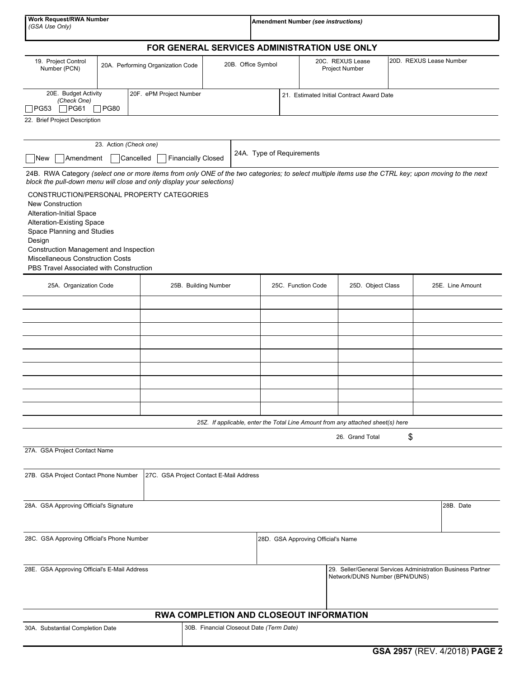| Work Request/RWA Number<br>(GSA Use Only)                                                                                                                                                                                                                                                      |                        |                                   |                                              |                           | Amendment Number (see instructions)                                                           |                    |                                                                                 |    |                                                                                                                                                     |  |
|------------------------------------------------------------------------------------------------------------------------------------------------------------------------------------------------------------------------------------------------------------------------------------------------|------------------------|-----------------------------------|----------------------------------------------|---------------------------|-----------------------------------------------------------------------------------------------|--------------------|---------------------------------------------------------------------------------|----|-----------------------------------------------------------------------------------------------------------------------------------------------------|--|
|                                                                                                                                                                                                                                                                                                |                        |                                   | FOR GENERAL SERVICES ADMINISTRATION USE ONLY |                           |                                                                                               |                    |                                                                                 |    |                                                                                                                                                     |  |
| 19. Project Control<br>Number (PCN)                                                                                                                                                                                                                                                            |                        | 20A. Performing Organization Code |                                              | 20B. Office Symbol        |                                                                                               |                    | 20C. REXUS Lease<br>Project Number                                              |    | 20D. REXUS Lease Number                                                                                                                             |  |
| 20E. Budget Activity<br>(Check One)<br>$\Box$ PG61<br>PG53                                                                                                                                                                                                                                     | $\Box$ PG80            | 20F. ePM Project Number           |                                              |                           |                                                                                               |                    | 21. Estimated Initial Contract Award Date                                       |    |                                                                                                                                                     |  |
| 22. Brief Project Description                                                                                                                                                                                                                                                                  |                        |                                   |                                              |                           |                                                                                               |                    |                                                                                 |    |                                                                                                                                                     |  |
| Amendment<br> New                                                                                                                                                                                                                                                                              | 23. Action (Check one) | Cancelled                         | <b>Financially Closed</b>                    | 24A. Type of Requirements |                                                                                               |                    |                                                                                 |    |                                                                                                                                                     |  |
| block the pull-down menu will close and only display your selections)                                                                                                                                                                                                                          |                        |                                   |                                              |                           |                                                                                               |                    |                                                                                 |    | 24B. RWA Category (select one or more items from only ONE of the two categories; to select multiple items use the CTRL key; upon moving to the next |  |
| CONSTRUCTION/PERSONAL PROPERTY CATEGORIES<br><b>New Construction</b><br>Alteration-Initial Space<br>Alteration-Existing Space<br>Space Planning and Studies<br>Design<br>Construction Management and Inspection<br>Miscellaneous Construction Costs<br>PBS Travel Associated with Construction |                        |                                   |                                              |                           |                                                                                               |                    |                                                                                 |    |                                                                                                                                                     |  |
| 25A. Organization Code                                                                                                                                                                                                                                                                         |                        |                                   | 25B. Building Number                         |                           |                                                                                               | 25C. Function Code | 25D. Object Class                                                               |    | 25E. Line Amount                                                                                                                                    |  |
|                                                                                                                                                                                                                                                                                                |                        |                                   |                                              |                           |                                                                                               |                    |                                                                                 |    |                                                                                                                                                     |  |
|                                                                                                                                                                                                                                                                                                |                        |                                   |                                              |                           |                                                                                               |                    |                                                                                 |    |                                                                                                                                                     |  |
|                                                                                                                                                                                                                                                                                                |                        |                                   |                                              |                           |                                                                                               |                    |                                                                                 |    |                                                                                                                                                     |  |
|                                                                                                                                                                                                                                                                                                |                        |                                   |                                              |                           |                                                                                               |                    |                                                                                 |    |                                                                                                                                                     |  |
|                                                                                                                                                                                                                                                                                                |                        |                                   |                                              |                           |                                                                                               |                    |                                                                                 |    |                                                                                                                                                     |  |
|                                                                                                                                                                                                                                                                                                |                        |                                   |                                              |                           |                                                                                               |                    |                                                                                 |    |                                                                                                                                                     |  |
|                                                                                                                                                                                                                                                                                                |                        |                                   |                                              |                           |                                                                                               |                    |                                                                                 |    |                                                                                                                                                     |  |
|                                                                                                                                                                                                                                                                                                |                        |                                   |                                              |                           |                                                                                               |                    | 25Z. If applicable, enter the Total Line Amount from any attached sheet(s) here |    |                                                                                                                                                     |  |
|                                                                                                                                                                                                                                                                                                |                        |                                   |                                              |                           |                                                                                               |                    | 26. Grand Total                                                                 | \$ |                                                                                                                                                     |  |
| 27A. GSA Project Contact Name                                                                                                                                                                                                                                                                  |                        |                                   |                                              |                           |                                                                                               |                    |                                                                                 |    |                                                                                                                                                     |  |
| 27B. GSA Project Contact Phone Number                                                                                                                                                                                                                                                          |                        |                                   | 27C. GSA Project Contact E-Mail Address      |                           |                                                                                               |                    |                                                                                 |    |                                                                                                                                                     |  |
| 28A. GSA Approving Official's Signature                                                                                                                                                                                                                                                        |                        |                                   |                                              |                           |                                                                                               |                    |                                                                                 |    | 28B. Date                                                                                                                                           |  |
| 28C. GSA Approving Official's Phone Number                                                                                                                                                                                                                                                     |                        |                                   |                                              |                           | 28D. GSA Approving Official's Name                                                            |                    |                                                                                 |    |                                                                                                                                                     |  |
| 28E. GSA Approving Official's E-Mail Address                                                                                                                                                                                                                                                   |                        |                                   |                                              |                           | 29. Seller/General Services Administration Business Partner<br>Network/DUNS Number (BPN/DUNS) |                    |                                                                                 |    |                                                                                                                                                     |  |
|                                                                                                                                                                                                                                                                                                |                        |                                   | RWA COMPLETION AND CLOSEOUT INFORMATION      |                           |                                                                                               |                    |                                                                                 |    |                                                                                                                                                     |  |
| 30A. Substantial Completion Date                                                                                                                                                                                                                                                               |                        |                                   | 30B. Financial Closeout Date (Term Date)     |                           |                                                                                               |                    |                                                                                 |    |                                                                                                                                                     |  |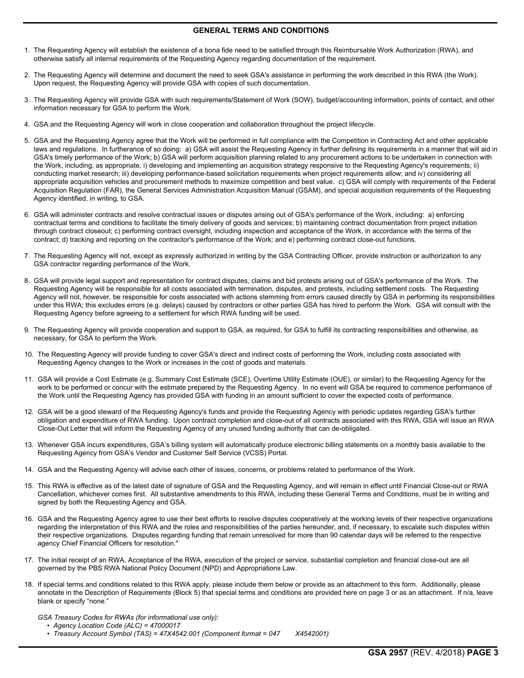# **GENERAL TERMS AND CONDITIONS**

- 1. The Requesting Agency will establish the existence of a bona fide need to be satisfied through this Reimbursable Work Authorization (RWA), and otherwise satisfy all internal requirements of the Requesting Agency regarding documentation of the requirement.
- 2. The Requesting Agency will determine and document the need to seek GSA's assistance in performing the work described in this RWA (the Work). Upon request, the Requesting Agency will provide GSA with copies of such documentation.
- 3. The Requesting Agency will provide GSA with such requirements/Statement of Work (SOW), budget/accounting information, points of contact, and other information necessary for GSA to perform the Work.
- 4. GSA and the Requesting Agency will work in close cooperation and collaboration throughout the project lifecycle.
- 5. GSA and the Requesting Agency agree that the Work will be performed in full compliance with the Competition in Contracting Act and other applicable laws and regulations. In furtherance of so doing: a) GSA will assist the Requesting Agency in further defining its requirements in a manner that will aid in GSA's timely performance of the Work; b) GSA will perform acquisition planning related to any procurement actions to be undertaken in connection with the Work, including, as appropriate, i) developing and implementing an acquisition strategy responsive to the Requesting Agency's requirements; ii) conducting market research; iii) developing performance-based solicitation requirements when project requirements allow; and iv) considering all appropriate acquisition vehicles and procurement methods to maximize competition and best value. c) GSA will comply with requirements of the Federal Acquisition Regulation (FAR), the General Services Administration Acquisition Manual (GSAM), and special acquisition requirements of the Requesting Agency identified, in writing, to GSA.
- 6. GSA will administer contracts and resolve contractual issues or disputes arising out of GSA's performance of the Work, including: a) enforcing contractual terms and conditions to facilitate the timely delivery of goods and services; b) maintaining contract documentation from project initiation through contract closeout; c) performing contract oversight, including inspection and acceptance of the Work, in accordance with the terms of the contract; d) tracking and reporting on the contractor's performance of the Work; and e) performing contract close-out functions.
- 7. The Requesting Agency will not, except as expressly authorized in writing by the GSA Contracting Officer, provide instruction or authorization to any GSA contractor regarding performance of the Work.
- 8. GSA will provide legal support and representation for contract disputes, claims and bid protests arising out of GSA's performance of the Work. The Requesting Agency will be responsible for all costs associated with termination, disputes, and protests, including settlement costs. The Requesting Agency will not, however, be responsible for costs associated with actions stemming from errors caused directly by GSA in performing its responsibilities under this RWA; this excludes errors (e.g. delays) caused by contractors or other parties GSA has hired to perform the Work. GSA will consult with the Requesting Agency before agreeing to a settlement for which RWA funding will be used.
- 9. The Requesting Agency will provide cooperation and support to GSA, as required, for GSA to fulfill its contracting responsibilities and otherwise, as necessary, for GSA to perform the Work.
- 10. The Requesting Agency will provide funding to cover GSA's direct and indirect costs of performing the Work, including costs associated with Requesting Agency changes to the Work or increases in the cost of goods and materials.
- 11. GSA will provide a Cost Estimate (e.g. Summary Cost Estimate (SCE), Overtime Utility Estimate (OUE), or similar) to the Requesting Agency for the work to be performed or concur with the estimate prepared by the Requesting Agency. In no event will GSA be required to commence performance of the Work until the Requesting Agency has provided GSA with funding in an amount sufficient to cover the expected costs of performance.
- 12. GSA will be a good steward of the Requesting Agency's funds and provide the Requesting Agency with periodic updates regarding GSA's further obligation and expenditure of RWA funding. Upon contract completion and close-out of all contracts associated with this RWA, GSA will issue an RWA Close-Out Letter that will inform the Requesting Agency of any unused funding authority that can de-obligated.
- 13. Whenever GSA incurs expenditures, GSA's billing system will automatically produce electronic billing statements on a monthly basis available to the Requesting Agency from GSA's Vendor and Customer Self Service (VCSS) Portal.
- 14. GSA and the Requesting Agency will advise each other of issues, concerns, or problems related to performance of the Work.
- 15. This RWA is effective as of the latest date of signature of GSA and the Requesting Agency, and will remain in effect until Financial Close-out or RWA Cancellation, whichever comes first. All substantive amendments to this RWA, including these General Terms and Conditions, must be in writing and signed by both the Requesting Agency and GSA.
- 16. GSA and the Requesting Agency agree to use their best efforts to resolve disputes cooperatively at the working levels of their respective organizations regarding the interpretation of this RWA and the roles and responsibilities of the parties hereunder, and, if necessary, to escalate such disputes within their respective organizations. Disputes regarding funding that remain unresolved for more than 90 calendar days will be referred to the respective agency Chief Financial Officers for resolution."
- 17. The initial receipt of an RWA, Acceptance of the RWA, execution of the project or service, substantial completion and financial close-out are all governed by the PBS RWA National Policy Document (NPD) and Appropriations Law.
- 18. If special terms and conditions related to this RWA apply, please include them below or provide as an attachment to this form. Additionally, please annotate in the Description of Requirements (Block 5) that special terms and conditions are provided here on page 3 or as an attachment. If n/a, leave blank or specify "none."
	- *GSA Treasury Codes for RWAs (for informational use only):*
		- *Agency Location Code (ALC) = 47000017*
		- Treasury Account Symbol (TAS) = 47X4542.001 (Component format = 047 X4542001)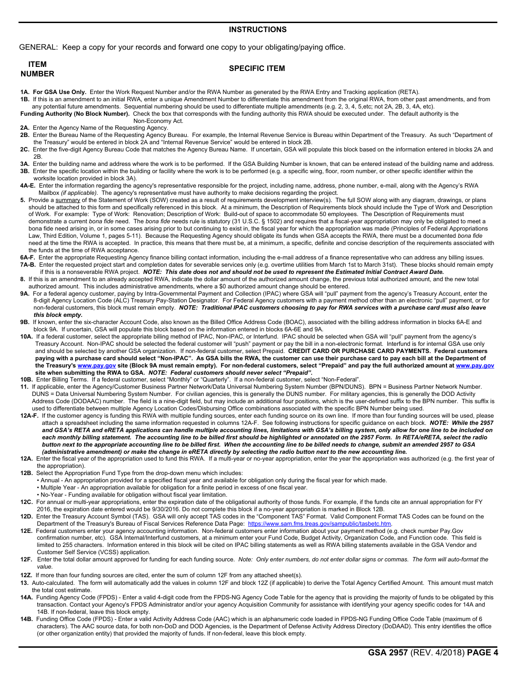### **INSTRUCTIONS**

GENERAL: Keep a copy for your records and forward one copy to your obligating/paying office.

| <b>ITEM</b>   | <b>SPECIFIC ITEM</b> |
|---------------|----------------------|
| <b>NUMBER</b> |                      |

**1A. For GSA Use Only.** Enter the Work Request Number and/or the RWA Number as generated by the RWA Entry and Tracking application (RETA).

**1B.** If this is an amendment to an initial RWA, enter a unique Amendment Number to differentiate this amendment from the original RWA, from other past amendments, and from any potential future amendments. Sequential numbering should be used to differentiate multiple amendments (e.g. 2, 3, 4, 5,etc; not 2A, 2B, 3, 4A, etc).

**Funding Authority (No Block Number).** Check the box that corresponds with the funding authority this RWA should be executed under. The default authority is the Non-Economy Act.

- **2A.** Enter the Agency Name of the Requesting Agency.
- **2B.** Enter the Bureau Name of the Requesting Agency Bureau. For example, the Internal Revenue Service is Bureau within Department of the Treasury. As such "Department of the Treasury" would be entered in block 2A and "Internal Revenue Service" would be entered in block 2B.
- **2C.** Enter the five-digit Agency Bureau Code that matches the Agency Bureau Name. If uncertain, GSA will populate this block based on the information entered in blocks 2A and 2B.
- 3A. Enter the building name and address where the work is to be performed. If the GSA Building Number is known, that can be entered instead of the building name and address. 3B. Enter the specific location within the building or facility where the work is to be performed (e.g. a specific wing, floor, room number, or other specific identifier within the worksite location provided in block 3A).
- **4A-E.** Enter the information regarding the agency's representative responsible for the project, including name, address, phone number, e-mail, along with the Agency's RWA Mailbox *(if applicable)*. The agency's representative must have authority to make decisions regarding the project.
- **5.** Provide a summary of the Statement of Work (SOW) created as a result of requirements development interview(s). The full SOW along with any diagram, drawings, or plans should be attached to this form and specifically referenced in this block. At a minimum, the Description of Requirements block should include the Type of Work and Description of Work. For example: Type of Work: Renovation; Description of Work: Build-out of space to accommodate 50 employees. The Description of Requirements must demonstrate a current *bona fide* need. The *bona fide* needs rule is statutory (31 U.S.C. § 1502) and requires that a fiscal-year appropriation may only be obligated to meet a bona fide need arising in, or in some cases arising prior to but continuing to exist in, the fiscal year for which the appropriation was made (Principles of Federal Appropriations Law, Third Edition, Volume 1, pages 5-11). Because the Requesting Agency should obligate its funds when GSA accepts the RWA, there must be a documented *bona fide* need at the time the RWA is accepted. In practice, this means that there must be, at a minimum, a specific, definite and concise description of the requirements associated with the funds at the time of RWA acceptance.
- 6A-F. Enter the appropriate Requesting Agency finance billing contact information, including the e-mail address of a finance representative who can address any billing issues. **7A-B.** Enter the requested project start and completion dates for severable services only (e.g. overtime utilities from March 1st to March 31st). These blocks should remain empty
- if this is a nonseverable RWA project. *NOTE: This date does not and should not be used to represent the Estimated Initial Contract Award Date.* **8.** If this is an amendment to an already accepted RWA, indicate the dollar amount of the authorized amount change, the previous total authorized amount, and the new total
- authorized amount. This includes administrative amendments, where a \$0 authorized amount change should be entered. **9A.** For a federal agency customer, paying by Intra-Governmental Payment and Collection (IPAC) where GSA will "pull" payment from the agency's Treasury Account, enter the 8-digit Agency Location Code (ALC) Treasury Pay-Station Designator. For Federal Agency customers with a payment method other than an electronic "pull" payment, or for non-federal customers, this block must remain empty. *NOTE: Traditional IPAC customers choosing to pay for RWA services with a purchase card must also leave this block empty.*
- **9B.** If known, enter the six-character Account Code, also known as the Billed Office Address Code (BOAC), associated with the billing address information in blocks 6A-E and block 9A. If uncertain, GSA will populate this block based on the information entered in blocks 6A-6E and 9A.
- **10A.** If a federal customer, select the appropriate billing method of IPAC, Non-IPAC, or Interfund. IPAC should be selected when GSA will "pull" payment from the agency's Treasury Account. Non-IPAC should be selected the federal customer will "push" payment or pay the bill in a non-electronic format. Interfund is for internal GSA use only and should be selected by another GSA organization. If non-federal customer, select Prepaid. **CREDIT CARD OR PURCHASE CARD PAYMENTS. Federal customers paying with a purchase card should select "Non-IPAC". As GSA bills the RWA, the customer can use their purchase card to pay each bill at the Department of the Treasury's <www.pay.gov>site (Block 9A must remain empty). For non-federal customers, select "Prepaid" and pay the full authorized amount at<www.pay.gov> site when submitting the RWA to GSA.** *NOTE: Federal customers should never select "Prepaid"***.**
- **10B.** Enter Billing Terms. If a federal customer, select "Monthly" or "Quarterly". If a non-federal customer, select "Non-Federal".
- **11.** If applicable, enter the Agency/Customer Business Partner Network/Data Universal Numbering System Number (BPN/DUNS). BPN = Business Partner Network Number. DUNS = Data Universal Numbering System Number. For civilian agencies, this is generally the DUNS number. For military agencies, this is generally the DOD Activity Address Code (DODAAC) number. The field is a nine-digit field, but may include an additional four positions, which is the user-defined suffix to the BPN number. This suffix is used to differentiate between multiple Agency Location Codes/Disbursing Office combinations associated with the specific BPN Number being used.
- **12A-F.** If the customer agency is funding this RWA with multiple funding sources, enter each funding source on its own line. If more than four funding sources will be used, please attach a spreadsheet including the same information requested in columns 12A-F. See following instructions for specific guidance on each block. *NOTE: While the 2957* and GSA's RETA and eRETA applications can handle multiple accounting lines, limitations with GSA's billing system, only allow for one line to be included on each monthly billing statement. The accounting line to be billed first should be highlighted or annotated on the 2957 Form. In RETA/eRETA, select the radio  *button next to the appropriate accounting line to be billed first. When the accounting line to be billed needs to change, submit an amended 2957 to GSA (administrative amendment) or make the change in eRETA directly by selecting the radio button next to the new accounting line.*
- 12A. Enter the fiscal year of the appropriation used to fund this RWA. If a multi-year or no-year appropriation, enter the year the appropriation was authorized (e.g. the first year of the appropriation).
- **12B.** Select the Appropriation Fund Type from the drop-down menu which includes:
	- Annual An appropriation provided for a specified fiscal year and available for obligation only during the fiscal year for which made.
	- Multiple Year An appropriation available for obligation for a finite period in excess of one fiscal year.
- No-Year Funding available for obligation without fiscal year limitation.
- **12C.** For annual or multi-year appropriations, enter the expiration date of the obligational authority of those funds. For example, if the funds cite an annual appropriation for FY 2016, the expiration date entered would be 9/30/2016. Do not complete this block if a no-year appropriation is marked in Block 12B.
- **12D.** Enter the Treasury Account Symbol (TAS). GSA will only accept TAS codes in the "Component TAS" Format. Valid Component Format TAS Codes can be found on the Department of the Treasury's Bureau of Fiscal Services Reference Data Page: https://www.sam.fms.treas.gov/sampublic/tasbetc.htm
- **12E.** Federal customers enter your agency accounting information. Non-federal customers enter information about your payment method (e.g. check number Pay.Gov confirmation number, etc). GSA Internal/Interfund customers, at a minimum enter your Fund Code, Budget Activity, Organization Code, and Function code. This field is limited to 255 characters. Information entered in this block will be cited on IPAC billing statements as well as RWA billing statements available in the GSA Vendor and Customer Self Service (VCSS) application.
- **12F.** Enter the total dollar amount approved for funding for each funding source. *Note: Only enter numbers, do not enter dollar signs or commas. The form will auto-format the value.*
- **12Z.** If more than four funding sources are cited, enter the sum of column 12F from any attached sheet(s).
- **13.** Auto-calculated. The form will automatically add the values in column 12F and block 12Z (if applicable) to derive the Total Agency Certified Amount. This amount must match the total cost estimate.
- **14A.** Funding Agency Code (FPDS) Enter a valid 4-digit code from the FPDS-NG Agency Code Table for the agency that is providing the majority of funds to be obligated by this transaction. Contact your Agency's FPDS Administrator and/or your agency Acquisition Community for assistance with identifying your agency specific codes for 14A and 14B. If non-federal, leave this block empty.
- **14B.** Funding Office Code (FPDS) Enter a valid Activity Address Code (AAC) which is an alphanumeric code loaded in FPDS-NG Funding Office Code Table (maximum of 6 characters). The AAC source data, for both non-DoD and DOD Agencies, is the Department of Defense Activity Address Directory (DoDAAD). This entry identifies the office (or other organization entity) that provided the majority of funds. If non-federal, leave this block empty.